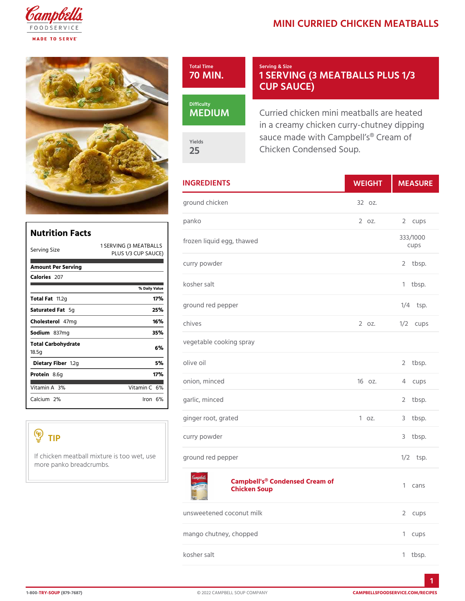## MINI CURRIED CHICKEN M



|                                                                                   |                                                 | <b>INGREDIENTS</b>            | WEIGH    | MEASU      |
|-----------------------------------------------------------------------------------|-------------------------------------------------|-------------------------------|----------|------------|
|                                                                                   |                                                 | ground chicken                | $320Z$ . |            |
|                                                                                   |                                                 | panko                         | 2 0 Z.   | 2 cups     |
| <b>Nutrition Facts</b>                                                            |                                                 | frozen liquid egg, thawed     |          | 333/1000   |
| Serving Size                                                                      | 1 SERVIM $BA(T3B A L S)$<br>PLUS 1/3 CUP SAUCE) |                               |          | cups       |
| Amount Per Serving                                                                |                                                 | curry powder                  |          | 2 tbsp.    |
| $C$ alorie $25$ 7                                                                 |                                                 | kosher salt                   |          | 1 tbsp.    |
|                                                                                   | % Daily Value                                   |                               |          |            |
| Total Fat.2g                                                                      | 17%                                             | ground red pepper             |          | $1/4$ tsp. |
| Saturated 5Fgat                                                                   | 25%                                             |                               |          |            |
| Choleste $4\bar{\sigma}$ lm g                                                     | 16%                                             | chives                        | 2 0 Z.   | $1/2$ cups |
| Sodium 37mg                                                                       | 35%                                             |                               |          |            |
| Total Carbohydrate<br>18.5g                                                       | 6 %                                             | vegetable cooking spray       |          |            |
| Dietary F1ib2eg                                                                   | 5 %                                             | olive oil                     |          | 2 tbsp.    |
| Proteia.6g                                                                        | 17%                                             |                               |          |            |
| Vitamin3A6                                                                        | Vitamin6 <sup>@</sup>                           | onion, minced                 | 160z.    | 4 cups     |
| Calciu2n%                                                                         | $l$ ron $6\%$                                   | garlic, minced                |          | 2 tbsp.    |
|                                                                                   |                                                 | ginger root, grated           | 1 oz.    | 3 tbsp.    |
| TIP                                                                               |                                                 | curry powder                  |          | 3 tbsp.    |
| If chicken meatball mixture is to now et, elos opepper<br>more panko breadcrumbs. |                                                 |                               |          | $1/2$ tsp. |
|                                                                                   |                                                 | Comphall's Condensed Croom of |          |            |

## [Campbell's® Condens](https://www.campbellsfoodservice.com/product/campbells-classic-condensed-cream-of-chicken-soup)ed Cream of Chicken Soup 1 cans

| unsweetened coconut milk | 2 cups  |
|--------------------------|---------|
| mango chutney, chopped   | 1 cups  |
| kosher salt              | 1 tbsp. |